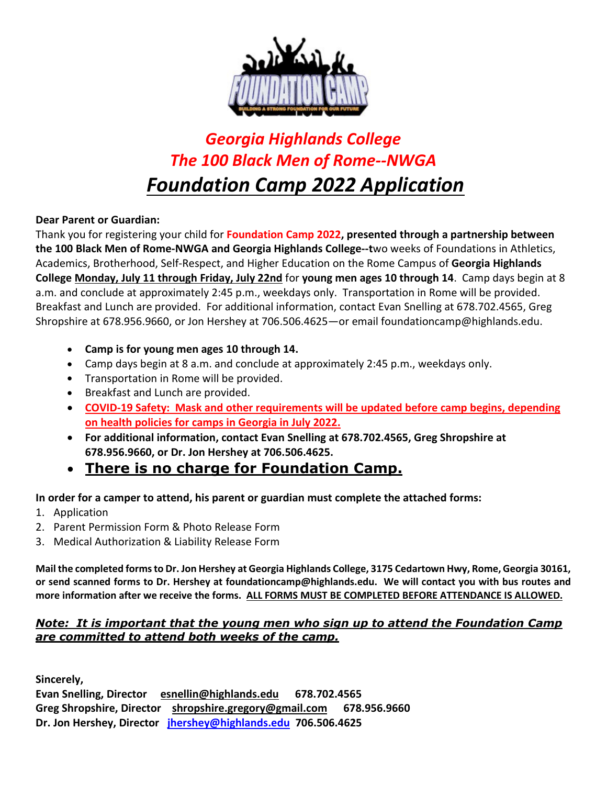

# *Georgia Highlands College The 100 Black Men of Rome--NWGA Foundation Camp 2022 Application*

### **Dear Parent or Guardian:**

Thank you for registering your child for **Foundation Camp 2022, presented through a partnership between the 100 Black Men of Rome-NWGA and Georgia Highlands College--t**wo weeks of Foundations in Athletics, Academics, Brotherhood, Self-Respect, and Higher Education on the Rome Campus of **Georgia Highlands College Monday, July 11 through Friday, July 22nd** for **young men ages 10 through 14**. Camp days begin at 8 a.m. and conclude at approximately 2:45 p.m., weekdays only. Transportation in Rome will be provided. Breakfast and Lunch are provided. For additional information, contact Evan Snelling at 678.702.4565, Greg Shropshire at 678.956.9660, or Jon Hershey at 706.506.4625—or email foundationcamp@highlands.edu.

- **Camp is for young men ages 10 through 14.**
- Camp days begin at 8 a.m. and conclude at approximately 2:45 p.m., weekdays only.
- Transportation in Rome will be provided.
- Breakfast and Lunch are provided.
- **COVID-19 Safety: Mask and other requirements will be updated before camp begins, depending on health policies for camps in Georgia in July 2022.**
- **For additional information, contact Evan Snelling at 678.702.4565, Greg Shropshire at 678.956.9660, or Dr. Jon Hershey at 706.506.4625.**
- **There is no charge for Foundation Camp.**

### **In order for a camper to attend, his parent or guardian must complete the attached forms:**

- 1. Application
- 2. Parent Permission Form & Photo Release Form
- 3. Medical Authorization & Liability Release Form

**Mail the completed forms to Dr. Jon Hershey at Georgia Highlands College, 3175 Cedartown Hwy, Rome, Georgia 30161, or send scanned forms to Dr. Hershey at foundationcamp@highlands.edu. We will contact you with bus routes and more information after we receive the forms. ALL FORMS MUST BE COMPLETED BEFORE ATTENDANCE IS ALLOWED.**

### *Note: It is important that the young men who sign up to attend the Foundation Camp are committed to attend both weeks of the camp.*

**Sincerely,**

**Evan Snelling, Director [esnellin@highlands.edu](mailto:esnellin@highlands.edu) 678.702.4565 Greg Shropshire, Director [shropshire.gregory@gmail.com](mailto:shropshire.gregory@gmail.com) 678.956.9660 Dr. Jon Hershey, Director [jhershey@highlands.edu](mailto:jhershey@highlands.edu) 706.506.4625**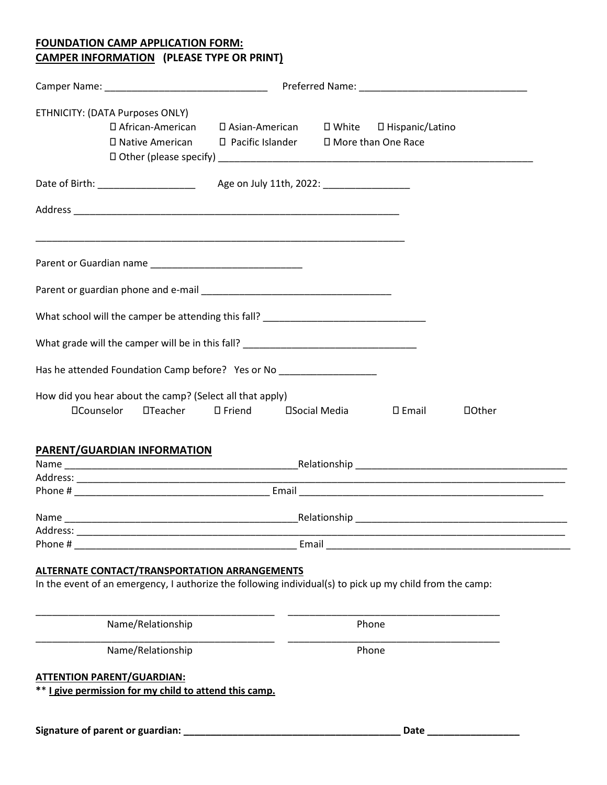### **FOUNDATION CAMP APPLICATION FORM: CAMPER INFORMATION (PLEASE TYPE OR PRINT)**

| ETHNICITY: (DATA Purposes ONLY)<br>□ African-American<br>□ Native American                                                                                       | □ Asian-American □ White □ Hispanic/Latino<br>$\Box$ Pacific Islander $\Box$ More than One Race |               |                 |         |
|------------------------------------------------------------------------------------------------------------------------------------------------------------------|-------------------------------------------------------------------------------------------------|---------------|-----------------|---------|
| Date of Birth: __________________                                                                                                                                | Age on July 11th, 2022: ___________________                                                     |               |                 |         |
|                                                                                                                                                                  |                                                                                                 |               |                 |         |
|                                                                                                                                                                  |                                                                                                 |               |                 |         |
|                                                                                                                                                                  |                                                                                                 |               |                 |         |
| What school will the camper be attending this fall? ____________________________                                                                                 |                                                                                                 |               |                 |         |
| What grade will the camper will be in this fall? _______________________________                                                                                 |                                                                                                 |               |                 |         |
| Has he attended Foundation Camp before? Yes or No ___________________                                                                                            |                                                                                                 |               |                 |         |
| How did you hear about the camp? (Select all that apply)<br><b>OCounselor</b><br>$\square$ Teacher $\square$ Friend                                              |                                                                                                 | □Social Media | $\square$ Email | □ Other |
| <b>PARENT/GUARDIAN INFORMATION</b>                                                                                                                               |                                                                                                 |               |                 |         |
|                                                                                                                                                                  |                                                                                                 |               |                 |         |
| Name                                                                                                                                                             |                                                                                                 |               |                 |         |
|                                                                                                                                                                  |                                                                                                 |               |                 |         |
| <b>ALTERNATE CONTACT/TRANSPORTATION ARRANGEMENTS</b><br>In the event of an emergency, I authorize the following individual(s) to pick up my child from the camp: |                                                                                                 |               |                 |         |
| Name/Relationship                                                                                                                                                | Phone                                                                                           |               |                 |         |
| Phone<br>Name/Relationship                                                                                                                                       |                                                                                                 |               |                 |         |
| <b>ATTENTION PARENT/GUARDIAN:</b><br>** I give permission for my child to attend this camp.                                                                      |                                                                                                 |               |                 |         |
|                                                                                                                                                                  |                                                                                                 |               |                 |         |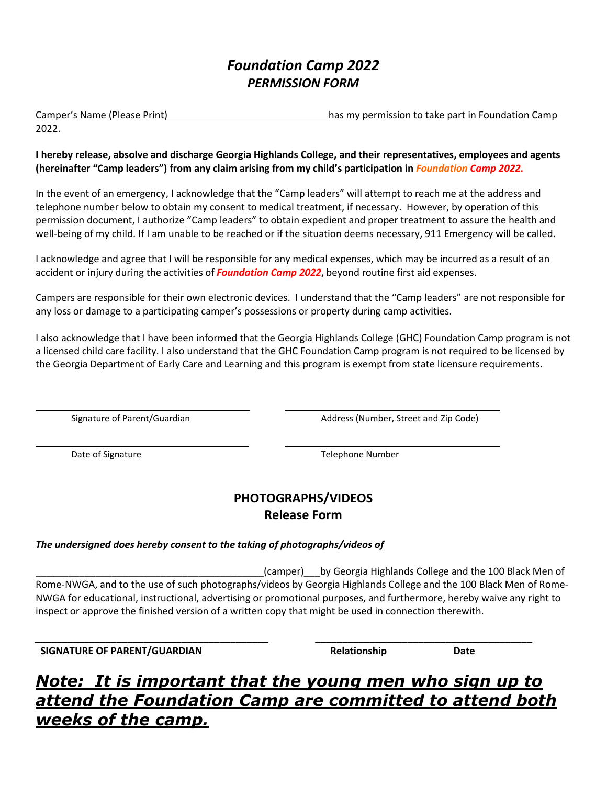## *Foundation Camp 2022 PERMISSION FORM*

Camper's Name (Please Print) has my permission to take part in Foundation Camp 2022.

**I hereby release, absolve and discharge Georgia Highlands College, and their representatives, employees and agents (hereinafter "Camp leaders") from any claim arising from my child's participation in** *Foundation Camp 2022***.**

In the event of an emergency, I acknowledge that the "Camp leaders" will attempt to reach me at the address and telephone number below to obtain my consent to medical treatment, if necessary. However, by operation of this permission document, I authorize "Camp leaders" to obtain expedient and proper treatment to assure the health and well-being of my child. If I am unable to be reached or if the situation deems necessary, 911 Emergency will be called.

I acknowledge and agree that I will be responsible for any medical expenses, which may be incurred as a result of an accident or injury during the activities of *Foundation Camp 2022***,** beyond routine first aid expenses.

Campers are responsible for their own electronic devices. I understand that the "Camp leaders" are not responsible for any loss or damage to a participating camper's possessions or property during camp activities.

I also acknowledge that I have been informed that the Georgia Highlands College (GHC) Foundation Camp program is not a licensed child care facility. I also understand that the GHC Foundation Camp program is not required to be licensed by the Georgia Department of Early Care and Learning and this program is exempt from state licensure requirements.

Signature of Parent/Guardian and Address (Number, Street and Zip Code)

l

l

Date of Signature Telephone Number

## **PHOTOGRAPHS/VIDEOS Release Form**

#### *The undersigned does hereby consent to the taking of photographs/videos of*

\_\_\_\_\_\_\_\_\_\_\_\_\_\_\_\_\_\_\_\_\_\_\_\_\_\_\_\_\_\_\_\_\_\_\_\_\_\_\_\_\_\_(camper)\_\_\_by Georgia Highlands College and the 100 Black Men of Rome-NWGA, and to the use of such photographs/videos by Georgia Highlands College and the 100 Black Men of Rome-NWGA for educational, instructional, advertising or promotional purposes, and furthermore, hereby waive any right to inspect or approve the finished version of a written copy that might be used in connection therewith.

**SIGNATURE OF PARENT/GUARDIAN Relationship Date** 

## *Note: It is important that the young men who sign up to attend the Foundation Camp are committed to attend both weeks of the camp.*

*\_\_\_\_\_\_\_\_\_\_\_\_\_\_\_\_\_\_\_\_\_\_\_\_\_\_\_\_\_\_\_\_\_\_\_\_\_\_\_\_\_\_\_ \_\_\_\_\_\_\_\_\_\_\_\_\_\_\_\_\_\_\_\_\_\_\_\_\_\_\_\_\_\_\_\_\_\_\_\_\_\_\_\_*